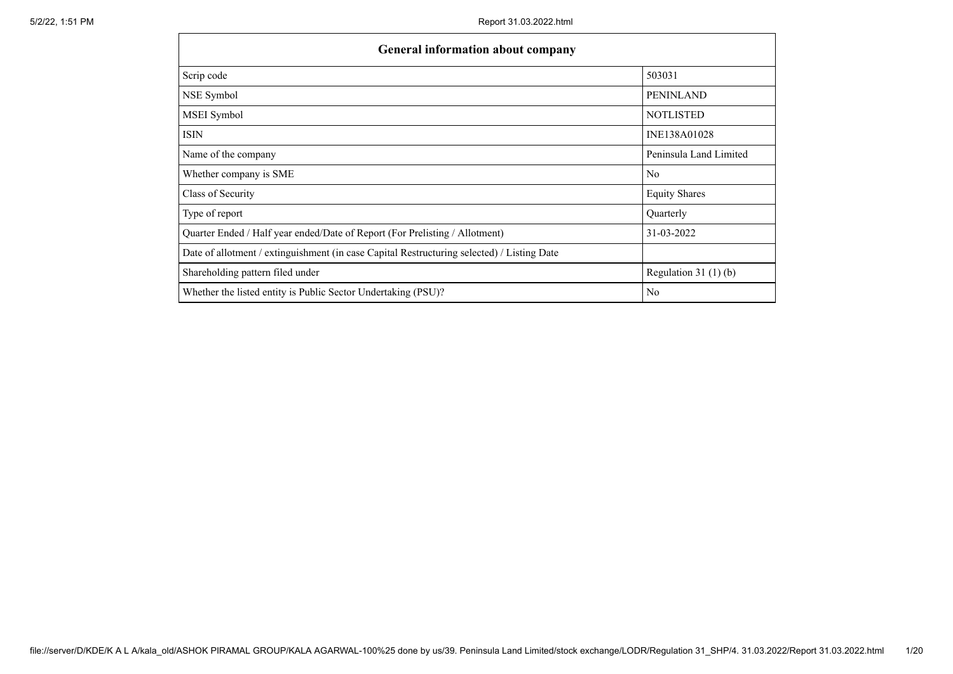| <b>General information about company</b>                                                   |                        |  |  |  |  |  |  |
|--------------------------------------------------------------------------------------------|------------------------|--|--|--|--|--|--|
| Scrip code                                                                                 | 503031                 |  |  |  |  |  |  |
| NSE Symbol                                                                                 | <b>PENINLAND</b>       |  |  |  |  |  |  |
| MSEI Symbol                                                                                | <b>NOTLISTED</b>       |  |  |  |  |  |  |
| ISIN                                                                                       | INE138A01028           |  |  |  |  |  |  |
| Name of the company                                                                        | Peninsula Land Limited |  |  |  |  |  |  |
| Whether company is SME                                                                     | N <sub>o</sub>         |  |  |  |  |  |  |
| Class of Security                                                                          | <b>Equity Shares</b>   |  |  |  |  |  |  |
| Type of report                                                                             | Quarterly              |  |  |  |  |  |  |
| Quarter Ended / Half year ended/Date of Report (For Prelisting / Allotment)                | 31-03-2022             |  |  |  |  |  |  |
| Date of allotment / extinguishment (in case Capital Restructuring selected) / Listing Date |                        |  |  |  |  |  |  |
| Shareholding pattern filed under                                                           | Regulation $31(1)(b)$  |  |  |  |  |  |  |
| Whether the listed entity is Public Sector Undertaking (PSU)?                              | No                     |  |  |  |  |  |  |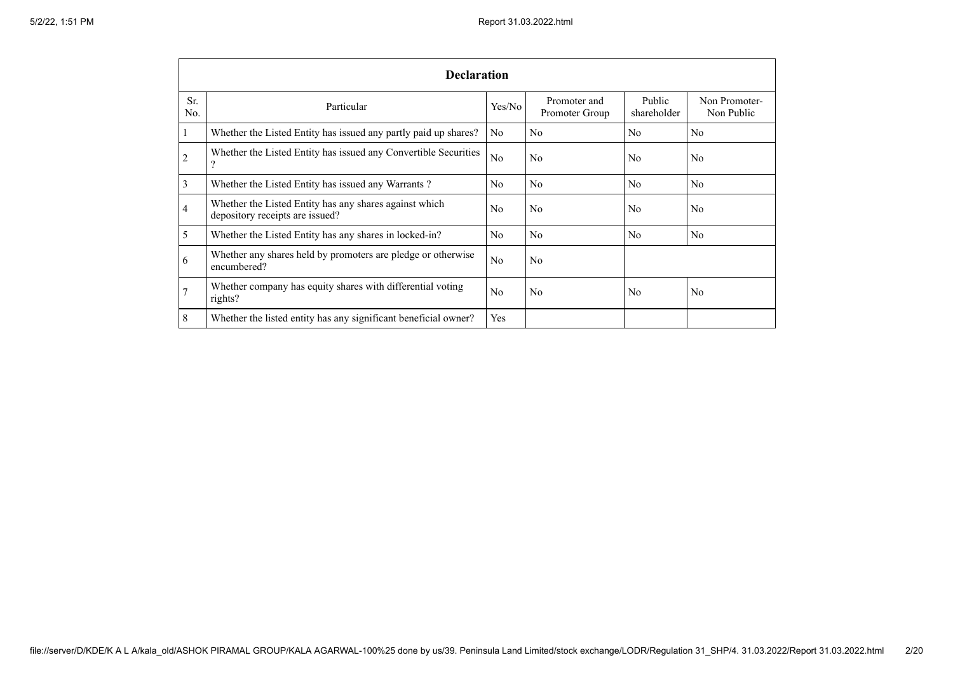|            | <b>Declaration</b>                                                                        |                |                                |                       |                             |  |  |  |  |
|------------|-------------------------------------------------------------------------------------------|----------------|--------------------------------|-----------------------|-----------------------------|--|--|--|--|
| Sr.<br>No. | Particular                                                                                | Yes/No         | Promoter and<br>Promoter Group | Public<br>shareholder | Non Promoter-<br>Non Public |  |  |  |  |
| $\perp$    | Whether the Listed Entity has issued any partly paid up shares?                           | N <sub>o</sub> | N <sub>o</sub>                 | N <sub>o</sub>        | N <sub>o</sub>              |  |  |  |  |
| 2          | Whether the Listed Entity has issued any Convertible Securities                           | No             | N <sub>o</sub>                 | N <sub>o</sub>        | N <sub>o</sub>              |  |  |  |  |
| 3          | Whether the Listed Entity has issued any Warrants?                                        | N <sub>o</sub> | N <sub>o</sub>                 | N <sub>0</sub>        | N <sub>o</sub>              |  |  |  |  |
| 4          | Whether the Listed Entity has any shares against which<br>depository receipts are issued? | N <sub>0</sub> | N <sub>o</sub>                 | N <sub>o</sub>        | N <sub>o</sub>              |  |  |  |  |
| 5          | Whether the Listed Entity has any shares in locked-in?                                    | N <sub>o</sub> | N <sub>o</sub>                 | N <sub>o</sub>        | N <sub>o</sub>              |  |  |  |  |
| 6          | Whether any shares held by promoters are pledge or otherwise<br>encumbered?               | No             | N <sub>o</sub>                 |                       |                             |  |  |  |  |
| 7          | Whether company has equity shares with differential voting<br>rights?                     | N <sub>0</sub> | N <sub>o</sub>                 | No                    | N <sub>o</sub>              |  |  |  |  |
| 8          | Whether the listed entity has any significant beneficial owner?                           | Yes            |                                |                       |                             |  |  |  |  |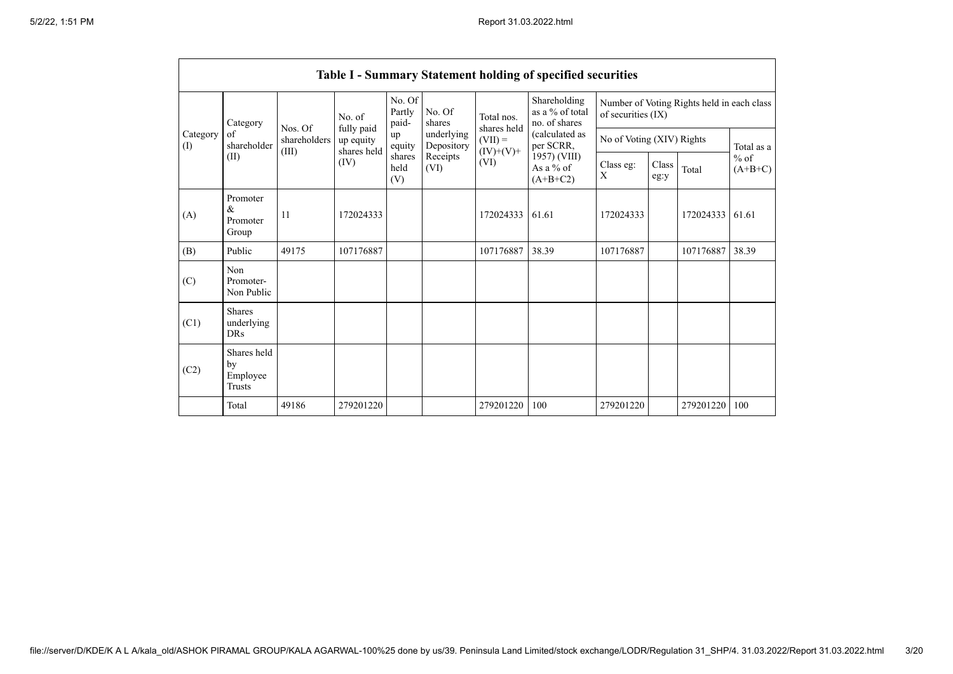|                 |                                                |              |                                        |                           |                          |                                        | Table I - Summary Statement holding of specified securities |                           |               |                                            |                     |
|-----------------|------------------------------------------------|--------------|----------------------------------------|---------------------------|--------------------------|----------------------------------------|-------------------------------------------------------------|---------------------------|---------------|--------------------------------------------|---------------------|
| Category<br>(I) | Category                                       | Nos. Of      | No. of                                 | No. Of<br>Partly<br>paid- | No. Of<br>shares         | Total nos.<br>shares held<br>$(VII) =$ | Shareholding<br>as a % of total<br>no. of shares            | of securities (IX)        |               | Number of Voting Rights held in each class |                     |
|                 | οf<br>shareholder                              | shareholders | fully paid<br>up equity<br>shares held | up<br>equity              | underlying<br>Depository |                                        | (calculated as<br>per SCRR,                                 | No of Voting (XIV) Rights |               |                                            | Total as a          |
|                 | (II)                                           | (III)        | (IV)                                   | shares<br>held<br>(V)     | Receipts<br>(VI)         | $(IV)+(V)+$<br>(VI)                    | 1957) (VIII)<br>As a $%$ of<br>$(A+B+C2)$                   | Class eg:<br>X            | Class<br>eg:y | Total                                      | $%$ of<br>$(A+B+C)$ |
| (A)             | Promoter<br>$\&$<br>Promoter<br>Group          | 11           | 172024333                              |                           |                          | 172024333                              | 61.61                                                       | 172024333                 |               | 172024333                                  | 61.61               |
| (B)             | Public                                         | 49175        | 107176887                              |                           |                          | 107176887                              | 38.39                                                       | 107176887                 |               | 107176887                                  | 38.39               |
| (C)             | Non<br>Promoter-<br>Non Public                 |              |                                        |                           |                          |                                        |                                                             |                           |               |                                            |                     |
| (C1)            | <b>Shares</b><br>underlying<br><b>DRs</b>      |              |                                        |                           |                          |                                        |                                                             |                           |               |                                            |                     |
| (C2)            | Shares held<br>by<br>Employee<br><b>Trusts</b> |              |                                        |                           |                          |                                        |                                                             |                           |               |                                            |                     |
|                 | Total                                          | 49186        | 279201220                              |                           |                          | 279201220                              | 100                                                         | 279201220                 |               | 279201220                                  | 100                 |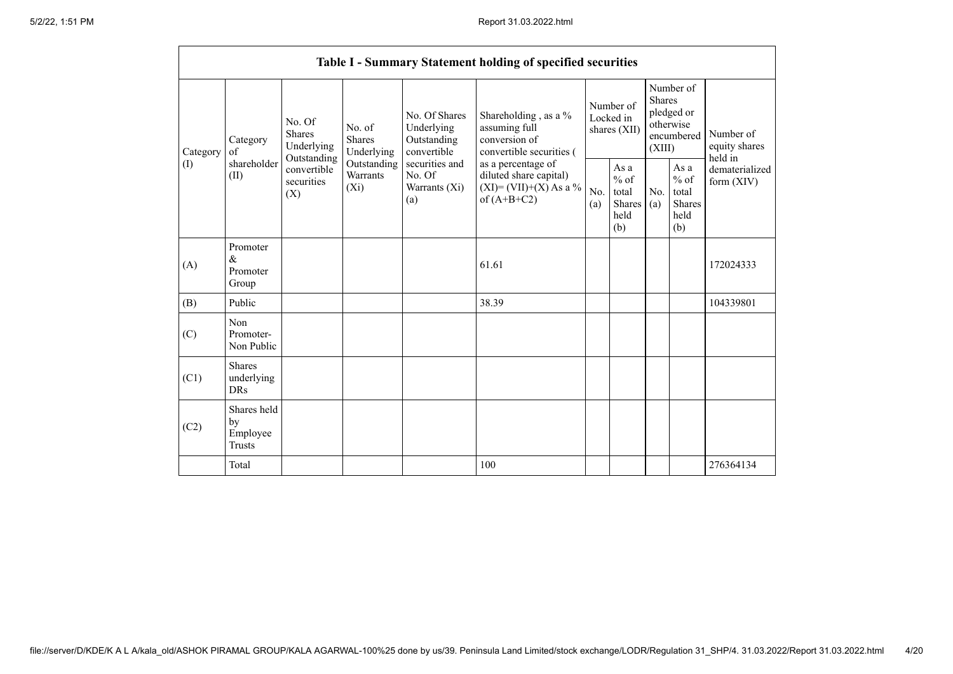|                 |                                                |                                                                                   |                                                                             |                                                                                                               | Table I - Summary Statement holding of specified securities                                |                                        |                                                  |                                                                               |                                                  |                                       |
|-----------------|------------------------------------------------|-----------------------------------------------------------------------------------|-----------------------------------------------------------------------------|---------------------------------------------------------------------------------------------------------------|--------------------------------------------------------------------------------------------|----------------------------------------|--------------------------------------------------|-------------------------------------------------------------------------------|--------------------------------------------------|---------------------------------------|
| Category<br>(I) | Category<br>of<br>shareholder<br>(II)          | No. Of<br>Shares<br>Underlying<br>Outstanding<br>convertible<br>securities<br>(X) | No. of<br><b>Shares</b><br>Underlying<br>Outstanding<br>Warrants<br>$(X_i)$ | No. Of Shares<br>Underlying<br>Outstanding<br>convertible<br>securities and<br>No. Of<br>Warrants (Xi)<br>(a) | Shareholding, as a %<br>assuming full<br>conversion of<br>convertible securities (         | Number of<br>Locked in<br>shares (XII) |                                                  | Number of<br><b>Shares</b><br>pledged or<br>otherwise<br>encumbered<br>(XIII) |                                                  | Number of<br>equity shares<br>held in |
|                 |                                                |                                                                                   |                                                                             |                                                                                                               | as a percentage of<br>diluted share capital)<br>$(XI) = (VII)+(X) As a %$<br>of $(A+B+C2)$ | No.<br>(a)                             | As a<br>$%$ of<br>total<br>Shares<br>held<br>(b) | No.<br>(a)                                                                    | As a<br>$%$ of<br>total<br>Shares<br>held<br>(b) | dematerialized<br>form $(XIV)$        |
| (A)             | Promoter<br>$\&$<br>Promoter<br>Group          |                                                                                   |                                                                             |                                                                                                               | 61.61                                                                                      |                                        |                                                  |                                                                               |                                                  | 172024333                             |
| (B)             | Public                                         |                                                                                   |                                                                             |                                                                                                               | 38.39                                                                                      |                                        |                                                  |                                                                               |                                                  | 104339801                             |
| (C)             | Non<br>Promoter-<br>Non Public                 |                                                                                   |                                                                             |                                                                                                               |                                                                                            |                                        |                                                  |                                                                               |                                                  |                                       |
| (C1)            | <b>Shares</b><br>underlying<br><b>DRs</b>      |                                                                                   |                                                                             |                                                                                                               |                                                                                            |                                        |                                                  |                                                                               |                                                  |                                       |
| (C2)            | Shares held<br>by<br>Employee<br><b>Trusts</b> |                                                                                   |                                                                             |                                                                                                               |                                                                                            |                                        |                                                  |                                                                               |                                                  |                                       |
|                 | Total                                          |                                                                                   |                                                                             |                                                                                                               | 100                                                                                        |                                        |                                                  |                                                                               |                                                  | 276364134                             |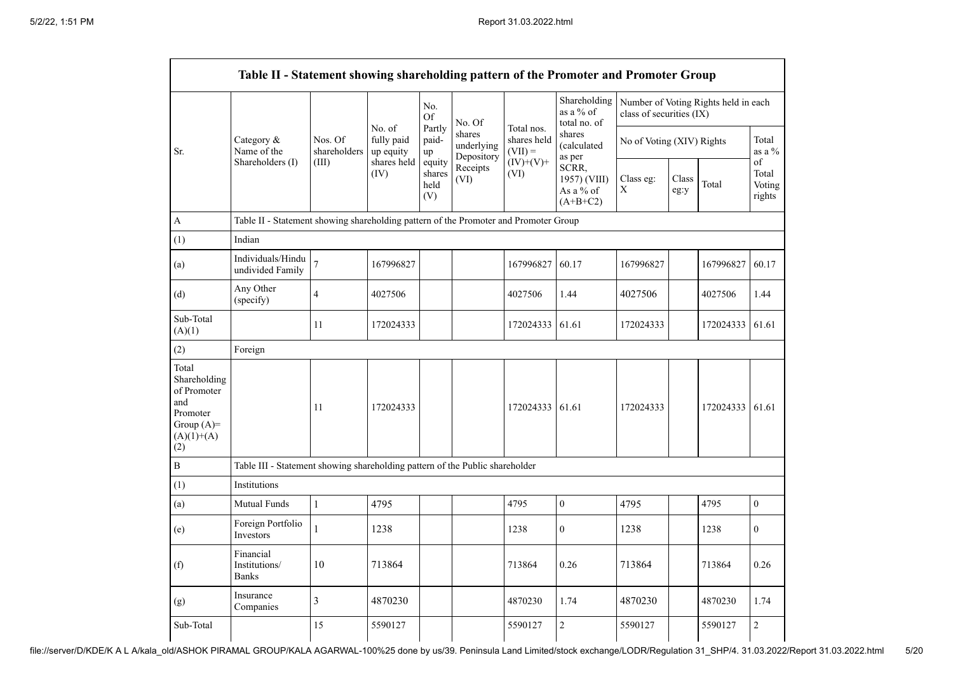|                                                                                                | Table II - Statement showing shareholding pattern of the Promoter and Promoter Group |                                  |                                                          |                                    |                                    |                                        |                                                  |                           |               |                                      |                                 |
|------------------------------------------------------------------------------------------------|--------------------------------------------------------------------------------------|----------------------------------|----------------------------------------------------------|------------------------------------|------------------------------------|----------------------------------------|--------------------------------------------------|---------------------------|---------------|--------------------------------------|---------------------------------|
|                                                                                                |                                                                                      |                                  | No. of<br>fully paid<br>up equity<br>shares held<br>(IV) | No.<br>Of<br>Partly<br>paid-<br>up | No. Of                             |                                        | Shareholding<br>as a % of<br>total no. of        | class of securities (IX)  |               | Number of Voting Rights held in each |                                 |
| Sr.                                                                                            | Category &<br>Name of the<br>Shareholders (I)                                        | Nos. Of<br>shareholders<br>(III) |                                                          |                                    | shares<br>underlying<br>Depository | Total nos.<br>shares held<br>$(VII) =$ | shares<br>(calculated<br>as per                  | No of Voting (XIV) Rights |               |                                      | Total<br>as a $\%$              |
|                                                                                                |                                                                                      |                                  |                                                          | equity<br>shares<br>held<br>(V)    | Receipts<br>(VI)                   | $(IV)+(V)+$<br>(VI)                    | SCRR,<br>1957) (VIII)<br>As a % of<br>$(A+B+C2)$ | Class eg:<br>$\mathbf X$  | Class<br>eg:y | Total                                | of<br>Total<br>Voting<br>rights |
| A                                                                                              | Table II - Statement showing shareholding pattern of the Promoter and Promoter Group |                                  |                                                          |                                    |                                    |                                        |                                                  |                           |               |                                      |                                 |
| (1)                                                                                            | Indian                                                                               |                                  |                                                          |                                    |                                    |                                        |                                                  |                           |               |                                      |                                 |
| (a)                                                                                            | Individuals/Hindu<br>undivided Family                                                | $\overline{7}$                   | 167996827                                                |                                    |                                    | 167996827                              | 60.17                                            | 167996827                 |               | 167996827                            | 60.17                           |
| (d)                                                                                            | Any Other<br>(specify)                                                               | $\overline{4}$                   | 4027506                                                  |                                    |                                    | 4027506                                | 1.44                                             | 4027506                   |               | 4027506                              | 1.44                            |
| Sub-Total<br>(A)(1)                                                                            |                                                                                      | 11                               | 172024333                                                |                                    |                                    | 172024333                              | 61.61                                            | 172024333                 |               | 172024333                            | 61.61                           |
| (2)                                                                                            | Foreign                                                                              |                                  |                                                          |                                    |                                    |                                        |                                                  |                           |               |                                      |                                 |
| Total<br>Shareholding<br>of Promoter<br>and<br>Promoter<br>Group $(A)=$<br>$(A)(1)+(A)$<br>(2) |                                                                                      | 11                               | 172024333                                                |                                    |                                    | 172024333 61.61                        |                                                  | 172024333                 |               | 172024333                            | 61.61                           |
| $\, {\bf B}$                                                                                   | Table III - Statement showing shareholding pattern of the Public shareholder         |                                  |                                                          |                                    |                                    |                                        |                                                  |                           |               |                                      |                                 |
| (1)                                                                                            | Institutions                                                                         |                                  |                                                          |                                    |                                    |                                        |                                                  |                           |               |                                      |                                 |
| (a)                                                                                            | Mutual Funds                                                                         | $\mathbf{1}$                     | 4795                                                     |                                    |                                    | 4795                                   | $\boldsymbol{0}$                                 | 4795                      |               | 4795                                 | $\boldsymbol{0}$                |
| (e)                                                                                            | Foreign Portfolio<br>Investors                                                       | 1                                | 1238                                                     |                                    |                                    | 1238                                   | $\mathbf{0}$                                     | 1238                      |               | 1238                                 | $\mathbf{0}$                    |
| (f)                                                                                            | Financial<br>Institutions/<br><b>Banks</b>                                           | 10                               | 713864                                                   |                                    |                                    | 713864                                 | 0.26                                             | 713864                    |               | 713864                               | 0.26                            |
| (g)                                                                                            | Insurance<br>Companies                                                               | $\overline{3}$                   | 4870230                                                  |                                    |                                    | 4870230                                | 1.74                                             | 4870230                   |               | 4870230                              | 1.74                            |
| Sub-Total                                                                                      |                                                                                      | 15                               | 5590127                                                  |                                    |                                    | 5590127                                | $\overline{c}$                                   | 5590127                   |               | 5590127                              | $\overline{2}$                  |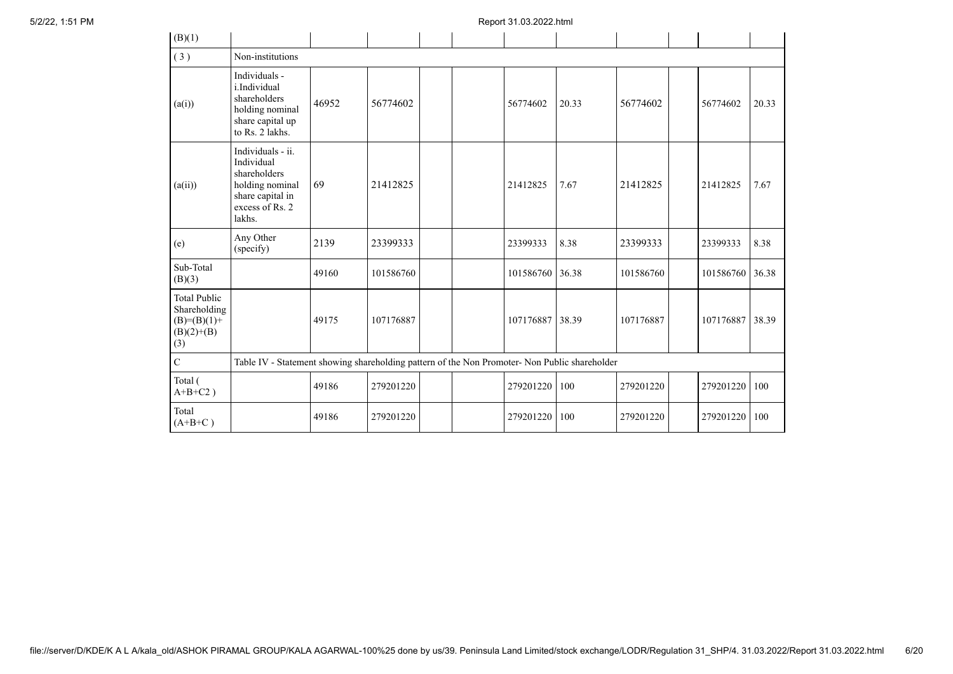| (B)(1)                                                                      |                                                                                                                     |       |           |  |  |           |       |           |           |       |
|-----------------------------------------------------------------------------|---------------------------------------------------------------------------------------------------------------------|-------|-----------|--|--|-----------|-------|-----------|-----------|-------|
| (3)                                                                         | Non-institutions                                                                                                    |       |           |  |  |           |       |           |           |       |
| (a(i))                                                                      | Individuals -<br>i.Individual<br>shareholders<br>holding nominal<br>share capital up<br>to Rs. 2 lakhs.             | 46952 | 56774602  |  |  | 56774602  | 20.33 | 56774602  | 56774602  | 20.33 |
| (a(ii))                                                                     | Individuals - ii.<br>Individual<br>shareholders<br>holding nominal<br>share capital in<br>excess of Rs. 2<br>lakhs. | 69    | 21412825  |  |  | 21412825  | 7.67  | 21412825  | 21412825  | 7.67  |
| (e)                                                                         | Any Other<br>(specify)                                                                                              | 2139  | 23399333  |  |  | 23399333  | 8.38  | 23399333  | 23399333  | 8.38  |
| Sub-Total<br>(B)(3)                                                         |                                                                                                                     | 49160 | 101586760 |  |  | 101586760 | 36.38 | 101586760 | 101586760 | 36.38 |
| <b>Total Public</b><br>Shareholding<br>$(B)=(B)(1)+$<br>$(B)(2)+(B)$<br>(3) |                                                                                                                     | 49175 | 107176887 |  |  | 107176887 | 38.39 | 107176887 | 107176887 | 38.39 |
| $\mathbf C$                                                                 | Table IV - Statement showing shareholding pattern of the Non Promoter- Non Public shareholder                       |       |           |  |  |           |       |           |           |       |
| Total (<br>$A+B+C2$ )                                                       |                                                                                                                     | 49186 | 279201220 |  |  | 279201220 | 100   | 279201220 | 279201220 | 100   |
| Total<br>$(A+B+C)$                                                          |                                                                                                                     | 49186 | 279201220 |  |  | 279201220 | 100   | 279201220 | 279201220 | 100   |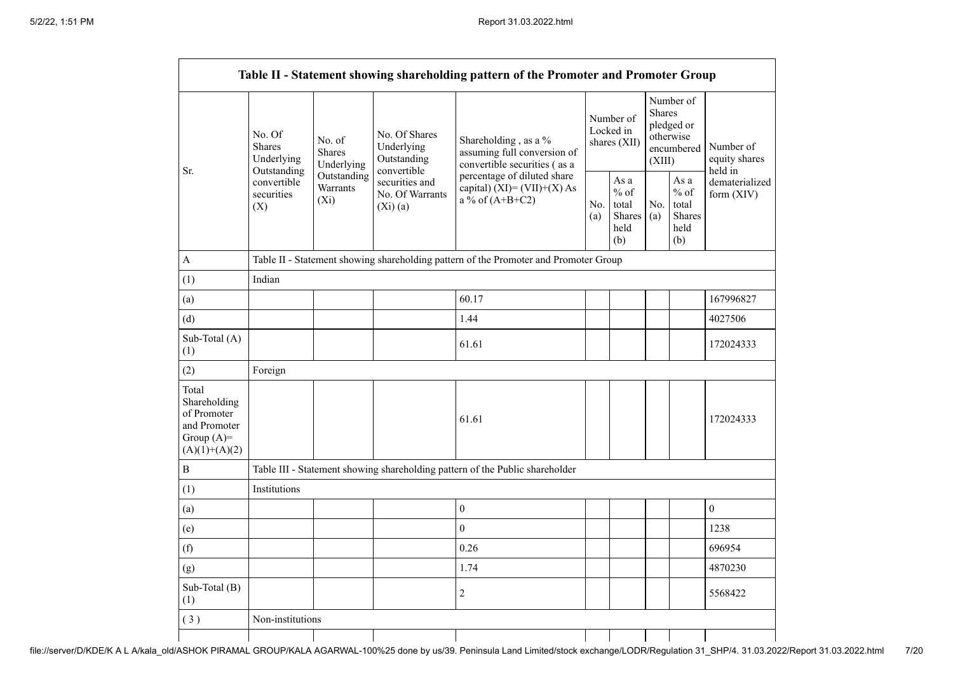|                                                                                         |                                                                                          |                                                                                      |                                                             | Table II - Statement showing shareholding pattern of the Promoter and Promoter Group |  |                                                  |                                                                               |                                                         |                                       |  |  |
|-----------------------------------------------------------------------------------------|------------------------------------------------------------------------------------------|--------------------------------------------------------------------------------------|-------------------------------------------------------------|--------------------------------------------------------------------------------------|--|--------------------------------------------------|-------------------------------------------------------------------------------|---------------------------------------------------------|---------------------------------------|--|--|
| Sr.                                                                                     | No. Of<br><b>Shares</b><br>Underlying<br>Outstanding<br>convertible<br>securities<br>(X) | No. of<br><b>Shares</b><br>Underlying                                                | No. Of Shares<br>Underlying<br>Outstanding                  | Shareholding, as a %<br>assuming full conversion of<br>convertible securities (as a  |  | Number of<br>Locked in<br>shares (XII)           | Number of<br><b>Shares</b><br>pledged or<br>otherwise<br>encumbered<br>(XIII) |                                                         | Number of<br>equity shares<br>held in |  |  |
|                                                                                         |                                                                                          | Outstanding<br>Warrants<br>$(X_i)$                                                   | convertible<br>securities and<br>No. Of Warrants<br>(Xi)(a) | percentage of diluted share<br>capital) $(XI) = (VII)+(X) As$<br>a % of $(A+B+C2)$   |  | As a<br>$%$ of<br>total<br>Shares<br>held<br>(b) | No.<br>(a)                                                                    | As a<br>$%$ of<br>total<br><b>Shares</b><br>held<br>(b) | dematerialized<br>form $(XIV)$        |  |  |
| A                                                                                       |                                                                                          | Table II - Statement showing shareholding pattern of the Promoter and Promoter Group |                                                             |                                                                                      |  |                                                  |                                                                               |                                                         |                                       |  |  |
| (1)                                                                                     | Indian                                                                                   |                                                                                      |                                                             |                                                                                      |  |                                                  |                                                                               |                                                         |                                       |  |  |
| (a)                                                                                     |                                                                                          |                                                                                      |                                                             | 60.17                                                                                |  |                                                  |                                                                               |                                                         | 167996827                             |  |  |
| (d)                                                                                     |                                                                                          |                                                                                      |                                                             | 1.44                                                                                 |  |                                                  |                                                                               |                                                         | 4027506                               |  |  |
| Sub-Total (A)<br>(1)                                                                    |                                                                                          |                                                                                      |                                                             | 61.61                                                                                |  |                                                  |                                                                               |                                                         | 172024333                             |  |  |
| (2)                                                                                     | Foreign                                                                                  |                                                                                      |                                                             |                                                                                      |  |                                                  |                                                                               |                                                         |                                       |  |  |
| Total<br>Shareholding<br>of Promoter<br>and Promoter<br>Group $(A)=$<br>$(A)(1)+(A)(2)$ |                                                                                          |                                                                                      |                                                             | 61.61                                                                                |  |                                                  |                                                                               |                                                         | 172024333                             |  |  |
| $\boldsymbol{B}$                                                                        |                                                                                          |                                                                                      |                                                             | Table III - Statement showing shareholding pattern of the Public shareholder         |  |                                                  |                                                                               |                                                         |                                       |  |  |
| (1)                                                                                     | Institutions                                                                             |                                                                                      |                                                             |                                                                                      |  |                                                  |                                                                               |                                                         |                                       |  |  |
| (a)                                                                                     |                                                                                          |                                                                                      |                                                             | $\boldsymbol{0}$                                                                     |  |                                                  |                                                                               |                                                         | $\boldsymbol{0}$                      |  |  |
| (e)                                                                                     |                                                                                          |                                                                                      |                                                             | $\theta$                                                                             |  |                                                  |                                                                               |                                                         | 1238                                  |  |  |
| (f)                                                                                     |                                                                                          |                                                                                      |                                                             | 0.26                                                                                 |  |                                                  |                                                                               |                                                         | 696954                                |  |  |
| (g)                                                                                     |                                                                                          |                                                                                      |                                                             | 1.74                                                                                 |  |                                                  |                                                                               |                                                         | 4870230                               |  |  |
| Sub-Total (B)<br>(1)                                                                    |                                                                                          |                                                                                      |                                                             | $\overline{2}$                                                                       |  |                                                  |                                                                               |                                                         | 5568422                               |  |  |
| (3)                                                                                     | Non-institutions                                                                         |                                                                                      |                                                             |                                                                                      |  |                                                  |                                                                               |                                                         |                                       |  |  |
|                                                                                         |                                                                                          |                                                                                      |                                                             |                                                                                      |  |                                                  |                                                                               |                                                         |                                       |  |  |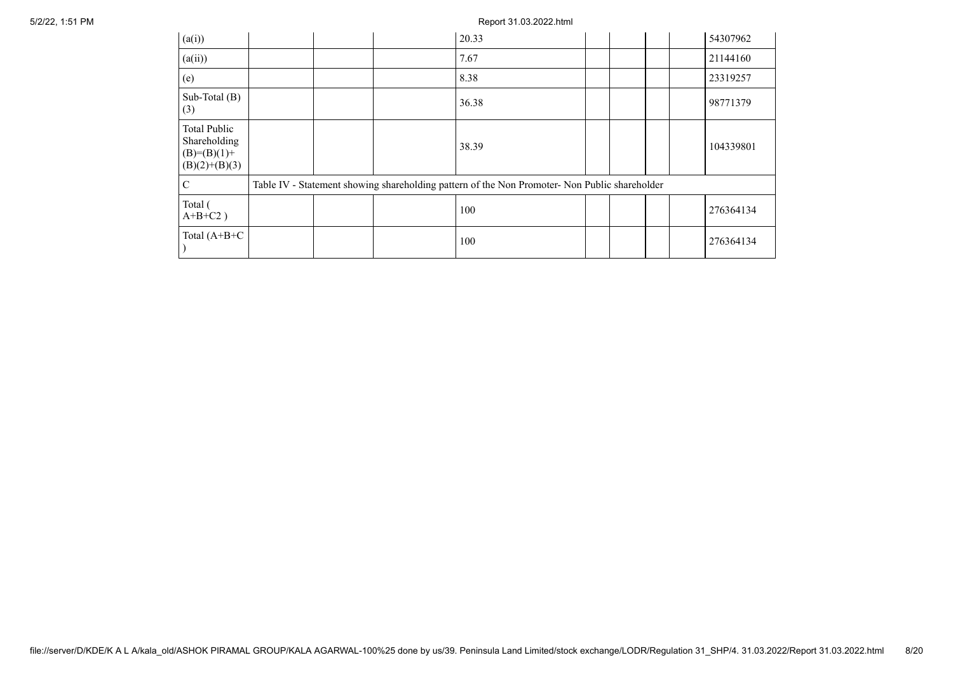5/2/22, 1:51 PM Report 31.03.2022.html

| (a(i))                                                                  |  | 20.33                                                                                         |  |  | 54307962  |
|-------------------------------------------------------------------------|--|-----------------------------------------------------------------------------------------------|--|--|-----------|
| (a(ii))                                                                 |  | 7.67                                                                                          |  |  | 21144160  |
| (e)                                                                     |  | 8.38                                                                                          |  |  | 23319257  |
| Sub-Total $(B)$<br>(3)                                                  |  | 36.38                                                                                         |  |  | 98771379  |
| <b>Total Public</b><br>Shareholding<br>$(B)=(B)(1)+$<br>$(B)(2)+(B)(3)$ |  | 38.39                                                                                         |  |  | 104339801 |
| $\mathcal{C}$                                                           |  | Table IV - Statement showing shareholding pattern of the Non Promoter- Non Public shareholder |  |  |           |
| Total (<br>$A+B+C2$ )                                                   |  | 100                                                                                           |  |  | 276364134 |
| Total $(A+B+C)$                                                         |  | 100                                                                                           |  |  | 276364134 |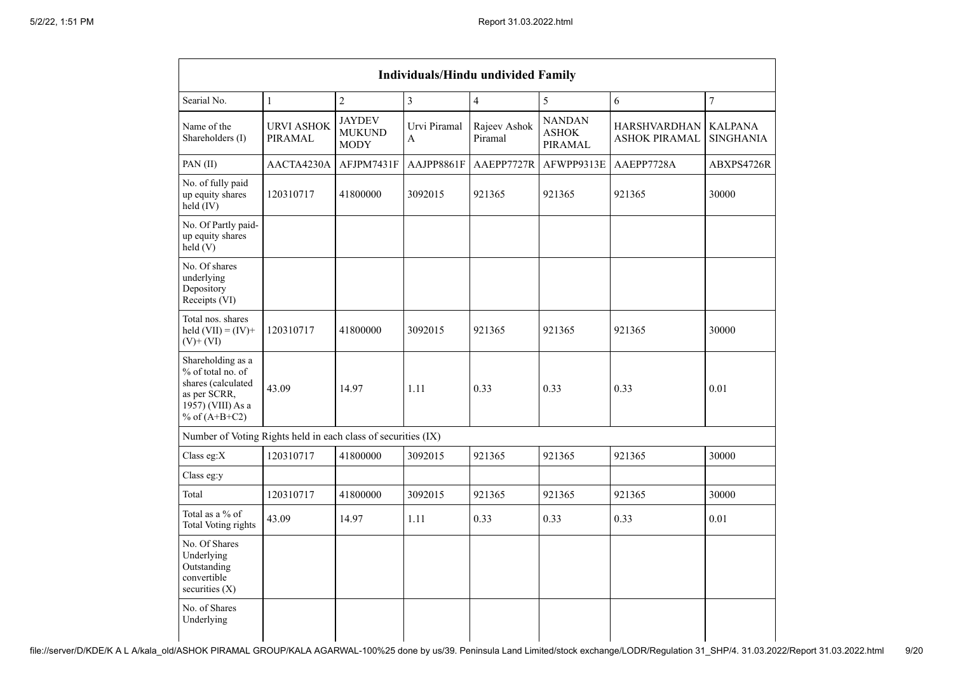|                                                                                                                      | <b>Individuals/Hindu undivided Family</b> |                                               |                   |                         |                                          |                                             |                                    |  |  |
|----------------------------------------------------------------------------------------------------------------------|-------------------------------------------|-----------------------------------------------|-------------------|-------------------------|------------------------------------------|---------------------------------------------|------------------------------------|--|--|
| Searial No.                                                                                                          | $\mathbf{1}$                              | $\overline{2}$                                | $\overline{3}$    | $\overline{4}$          | 5                                        | 6                                           | $\boldsymbol{7}$                   |  |  |
| Name of the<br>Shareholders (I)                                                                                      | <b>URVI ASHOK</b><br>PIRAMAL              | <b>JAYDEV</b><br><b>MUKUND</b><br><b>MODY</b> | Urvi Piramal<br>A | Rajeev Ashok<br>Piramal | <b>NANDAN</b><br><b>ASHOK</b><br>PIRAMAL | <b>HARSHVARDHAN</b><br><b>ASHOK PIRAMAL</b> | <b>KALPANA</b><br><b>SINGHANIA</b> |  |  |
| PAN(II)                                                                                                              | AACTA4230A                                | AFJPM7431F                                    | AAJPP8861F        | AAEPP7727R              | AFWPP9313E                               | AAEPP7728A                                  | ABXPS4726R                         |  |  |
| No. of fully paid<br>up equity shares<br>held (IV)                                                                   | 120310717                                 | 41800000                                      | 3092015           | 921365                  | 921365                                   | 921365                                      | 30000                              |  |  |
| No. Of Partly paid-<br>up equity shares<br>held(V)                                                                   |                                           |                                               |                   |                         |                                          |                                             |                                    |  |  |
| No. Of shares<br>underlying<br>Depository<br>Receipts (VI)                                                           |                                           |                                               |                   |                         |                                          |                                             |                                    |  |  |
| Total nos. shares<br>held $(VII) = (IV) +$<br>$(V)$ + $(VI)$                                                         | 120310717                                 | 41800000                                      | 3092015           | 921365                  | 921365                                   | 921365                                      | 30000                              |  |  |
| Shareholding as a<br>% of total no. of<br>shares (calculated<br>as per SCRR,<br>1957) (VIII) As a<br>% of $(A+B+C2)$ | 43.09                                     | 14.97                                         | 1.11              | 0.33                    | 0.33                                     | 0.33                                        | 0.01                               |  |  |
| Number of Voting Rights held in each class of securities (IX)                                                        |                                           |                                               |                   |                         |                                          |                                             |                                    |  |  |
| Class eg:X                                                                                                           | 120310717                                 | 41800000                                      | 3092015           | 921365                  | 921365                                   | 921365                                      | 30000                              |  |  |
| Class eg:y                                                                                                           |                                           |                                               |                   |                         |                                          |                                             |                                    |  |  |
| Total                                                                                                                | 120310717                                 | 41800000                                      | 3092015           | 921365                  | 921365                                   | 921365                                      | 30000                              |  |  |
| Total as a % of<br><b>Total Voting rights</b>                                                                        | 43.09                                     | 14.97                                         | 1.11              | 0.33                    | 0.33                                     | 0.33                                        | 0.01                               |  |  |
| No. Of Shares<br>Underlying<br>Outstanding<br>convertible<br>securities $(X)$                                        |                                           |                                               |                   |                         |                                          |                                             |                                    |  |  |
| No. of Shares<br>Underlying                                                                                          |                                           |                                               |                   |                         |                                          |                                             |                                    |  |  |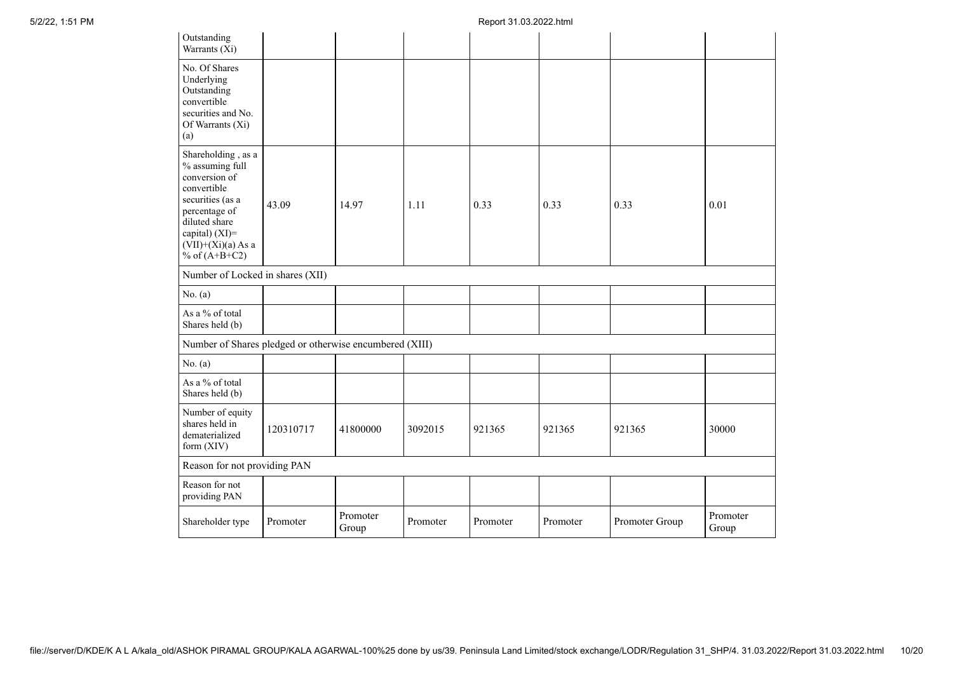| Outstanding<br>Warrants (Xi)                                                                                                                                                             |           |                   |          |          |          |                |                   |
|------------------------------------------------------------------------------------------------------------------------------------------------------------------------------------------|-----------|-------------------|----------|----------|----------|----------------|-------------------|
| No. Of Shares<br>Underlying<br>Outstanding<br>convertible<br>securities and No.<br>Of Warrants (Xi)<br>(a)                                                                               |           |                   |          |          |          |                |                   |
| Shareholding, as a<br>% assuming full<br>conversion of<br>convertible<br>securities (as a<br>percentage of<br>diluted share<br>capital) (XI)=<br>$(VII)+(Xi)(a)$ As a<br>% of $(A+B+C2)$ | 43.09     | 14.97             | 1.11     | 0.33     | 0.33     | 0.33           | 0.01              |
| Number of Locked in shares (XII)                                                                                                                                                         |           |                   |          |          |          |                |                   |
| No. (a)                                                                                                                                                                                  |           |                   |          |          |          |                |                   |
| As a % of total<br>Shares held (b)                                                                                                                                                       |           |                   |          |          |          |                |                   |
| Number of Shares pledged or otherwise encumbered (XIII)                                                                                                                                  |           |                   |          |          |          |                |                   |
| No. (a)                                                                                                                                                                                  |           |                   |          |          |          |                |                   |
| As a % of total<br>Shares held (b)                                                                                                                                                       |           |                   |          |          |          |                |                   |
| Number of equity<br>shares held in<br>dematerialized<br>form (XIV)                                                                                                                       | 120310717 | 41800000          | 3092015  | 921365   | 921365   | 921365         | 30000             |
| Reason for not providing PAN                                                                                                                                                             |           |                   |          |          |          |                |                   |
| Reason for not<br>providing PAN                                                                                                                                                          |           |                   |          |          |          |                |                   |
| Shareholder type                                                                                                                                                                         | Promoter  | Promoter<br>Group | Promoter | Promoter | Promoter | Promoter Group | Promoter<br>Group |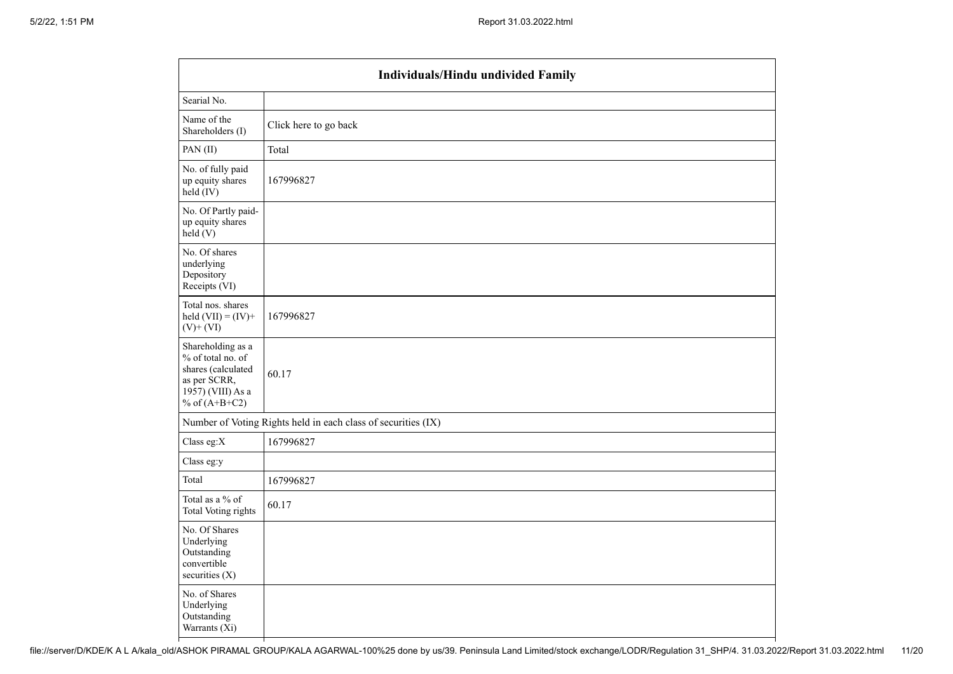|                                                                                                                      | <b>Individuals/Hindu undivided Family</b>                     |  |  |  |  |  |  |  |
|----------------------------------------------------------------------------------------------------------------------|---------------------------------------------------------------|--|--|--|--|--|--|--|
| Searial No.                                                                                                          |                                                               |  |  |  |  |  |  |  |
| Name of the<br>Shareholders (I)                                                                                      | Click here to go back                                         |  |  |  |  |  |  |  |
| PAN(II)                                                                                                              | Total                                                         |  |  |  |  |  |  |  |
| No. of fully paid<br>up equity shares<br>$held$ (IV)                                                                 | 167996827                                                     |  |  |  |  |  |  |  |
| No. Of Partly paid-<br>up equity shares<br>held(V)                                                                   |                                                               |  |  |  |  |  |  |  |
| No. Of shares<br>underlying<br>Depository<br>Receipts (VI)                                                           |                                                               |  |  |  |  |  |  |  |
| Total nos. shares<br>held $(VII) = (IV) +$<br>$(V)$ + $(VI)$                                                         | 167996827                                                     |  |  |  |  |  |  |  |
| Shareholding as a<br>% of total no. of<br>shares (calculated<br>as per SCRR,<br>1957) (VIII) As a<br>% of $(A+B+C2)$ | 60.17                                                         |  |  |  |  |  |  |  |
|                                                                                                                      | Number of Voting Rights held in each class of securities (IX) |  |  |  |  |  |  |  |
| Class eg:X                                                                                                           | 167996827                                                     |  |  |  |  |  |  |  |
| Class eg:y                                                                                                           |                                                               |  |  |  |  |  |  |  |
| Total                                                                                                                | 167996827                                                     |  |  |  |  |  |  |  |
| Total as a % of<br><b>Total Voting rights</b>                                                                        | 60.17                                                         |  |  |  |  |  |  |  |
| No. Of Shares<br>Underlying<br>Outstanding<br>convertible<br>securities (X)                                          |                                                               |  |  |  |  |  |  |  |
| No. of Shares<br>Underlying<br>Outstanding<br>Warrants $(X_i)$                                                       |                                                               |  |  |  |  |  |  |  |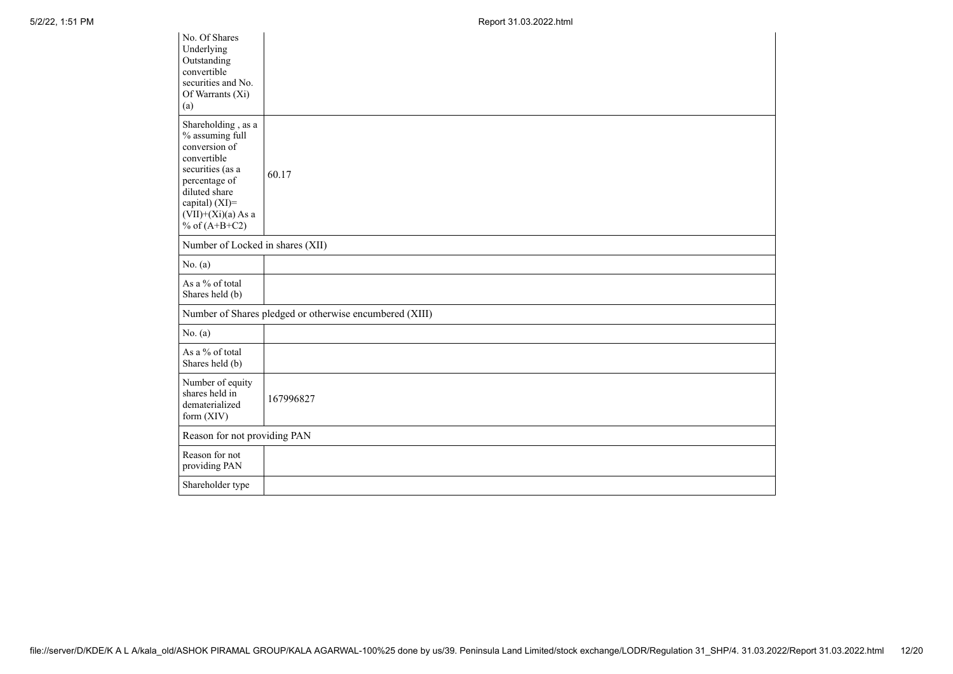5/2/22, 1:51 PM Report 31.03.2022.html

| No. Of Shares<br>Underlying<br>Outstanding<br>convertible<br>securities and No.<br>Of Warrants (Xi)<br>(a)                                                                               |                                                         |
|------------------------------------------------------------------------------------------------------------------------------------------------------------------------------------------|---------------------------------------------------------|
| Shareholding, as a<br>% assuming full<br>conversion of<br>convertible<br>securities (as a<br>percentage of<br>diluted share<br>capital) (XI)=<br>$(VII)+(Xi)(a)$ As a<br>% of $(A+B+C2)$ | 60.17                                                   |
| Number of Locked in shares (XII)                                                                                                                                                         |                                                         |
| No. $(a)$                                                                                                                                                                                |                                                         |
| As a % of total<br>Shares held (b)                                                                                                                                                       |                                                         |
|                                                                                                                                                                                          | Number of Shares pledged or otherwise encumbered (XIII) |
| No. $(a)$                                                                                                                                                                                |                                                         |
| As a % of total<br>Shares held (b)                                                                                                                                                       |                                                         |
| Number of equity<br>shares held in<br>dematerialized<br>form (XIV)                                                                                                                       | 167996827                                               |
| Reason for not providing PAN                                                                                                                                                             |                                                         |
| Reason for not<br>providing PAN                                                                                                                                                          |                                                         |
| Shareholder type                                                                                                                                                                         |                                                         |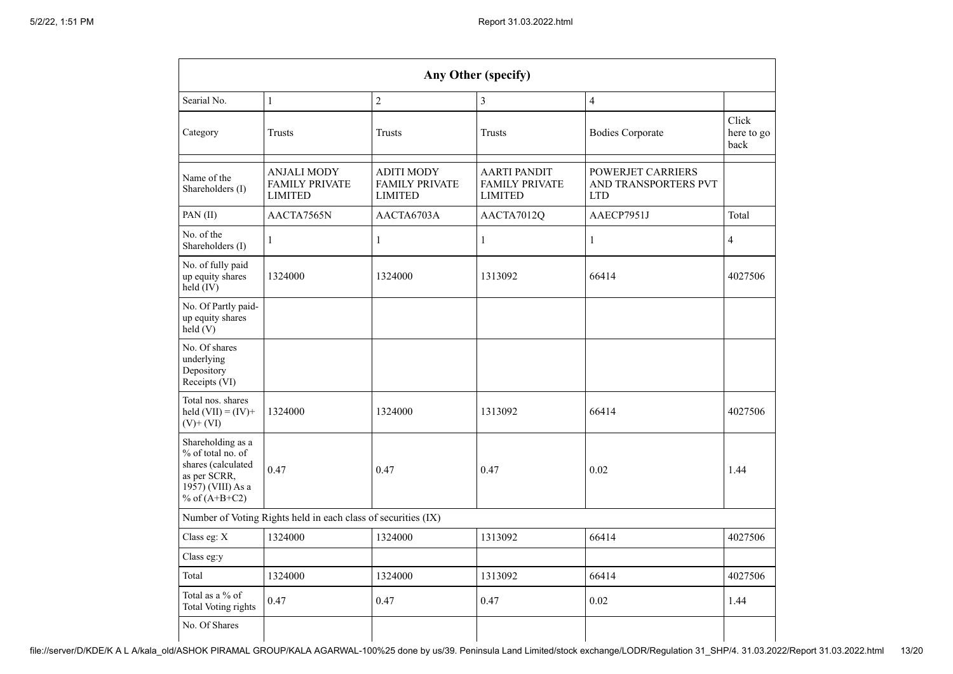| Any Other (specify)                                                                                                  |                                                                             |                                                                                                                                                                                    |              |                         |                             |  |  |  |  |
|----------------------------------------------------------------------------------------------------------------------|-----------------------------------------------------------------------------|------------------------------------------------------------------------------------------------------------------------------------------------------------------------------------|--------------|-------------------------|-----------------------------|--|--|--|--|
| Searial No.                                                                                                          | $\overline{2}$<br>$\mathbf{1}$<br>$\overline{\mathbf{3}}$<br>$\overline{4}$ |                                                                                                                                                                                    |              |                         |                             |  |  |  |  |
| Category                                                                                                             | <b>Trusts</b>                                                               |                                                                                                                                                                                    | Trusts       | <b>Bodies Corporate</b> | Click<br>here to go<br>back |  |  |  |  |
| Name of the<br>Shareholders (I)                                                                                      | <b>ANJALI MODY</b><br><b>FAMILY PRIVATE</b><br><b>LIMITED</b>               | ADITI MODY<br>AARTI PANDIT<br><b>POWERJET CARRIERS</b><br><b>FAMILY PRIVATE</b><br><b>FAMILY PRIVATE</b><br>AND TRANSPORTERS PVT<br><b>LIMITED</b><br><b>LIMITED</b><br><b>LTD</b> |              |                         |                             |  |  |  |  |
| PAN(II)                                                                                                              | AACTA7565N                                                                  | AACTA6703A                                                                                                                                                                         | AACTA7012Q   | AAECP7951J              | Total                       |  |  |  |  |
| No. of the<br>Shareholders (I)                                                                                       | $\mathbf{1}$                                                                | $\mathbf{1}$                                                                                                                                                                       | $\mathbf{1}$ | $\mathbf{1}$            | $\overline{4}$              |  |  |  |  |
| No. of fully paid<br>up equity shares<br>1324000<br>held (IV)                                                        |                                                                             | 1324000                                                                                                                                                                            | 1313092      | 66414                   | 4027506                     |  |  |  |  |
| No. Of Partly paid-<br>up equity shares<br>held(V)                                                                   |                                                                             |                                                                                                                                                                                    |              |                         |                             |  |  |  |  |
| No. Of shares<br>underlying<br>Depository<br>Receipts (VI)                                                           |                                                                             |                                                                                                                                                                                    |              |                         |                             |  |  |  |  |
| Total nos. shares<br>held $(VII) = (IV) +$<br>$(V)$ + $(VI)$                                                         | 1324000                                                                     | 1324000                                                                                                                                                                            | 1313092      | 66414                   | 4027506                     |  |  |  |  |
| Shareholding as a<br>% of total no. of<br>shares (calculated<br>as per SCRR,<br>1957) (VIII) As a<br>% of $(A+B+C2)$ | 0.47                                                                        | 0.47                                                                                                                                                                               | 0.47         | 0.02                    | 1.44                        |  |  |  |  |
|                                                                                                                      | Number of Voting Rights held in each class of securities (IX)               |                                                                                                                                                                                    |              |                         |                             |  |  |  |  |
| Class eg: X                                                                                                          | 1324000                                                                     | 1324000                                                                                                                                                                            | 1313092      | 66414                   | 4027506                     |  |  |  |  |
| Class eg:y                                                                                                           |                                                                             |                                                                                                                                                                                    |              |                         |                             |  |  |  |  |
| Total                                                                                                                | 1324000                                                                     | 1324000                                                                                                                                                                            | 1313092      | 66414                   | 4027506                     |  |  |  |  |
| Total as a % of<br><b>Total Voting rights</b>                                                                        | 0.47                                                                        | 0.47                                                                                                                                                                               | 0.47         | 0.02                    | 1.44                        |  |  |  |  |
| No. Of Shares                                                                                                        |                                                                             |                                                                                                                                                                                    |              |                         |                             |  |  |  |  |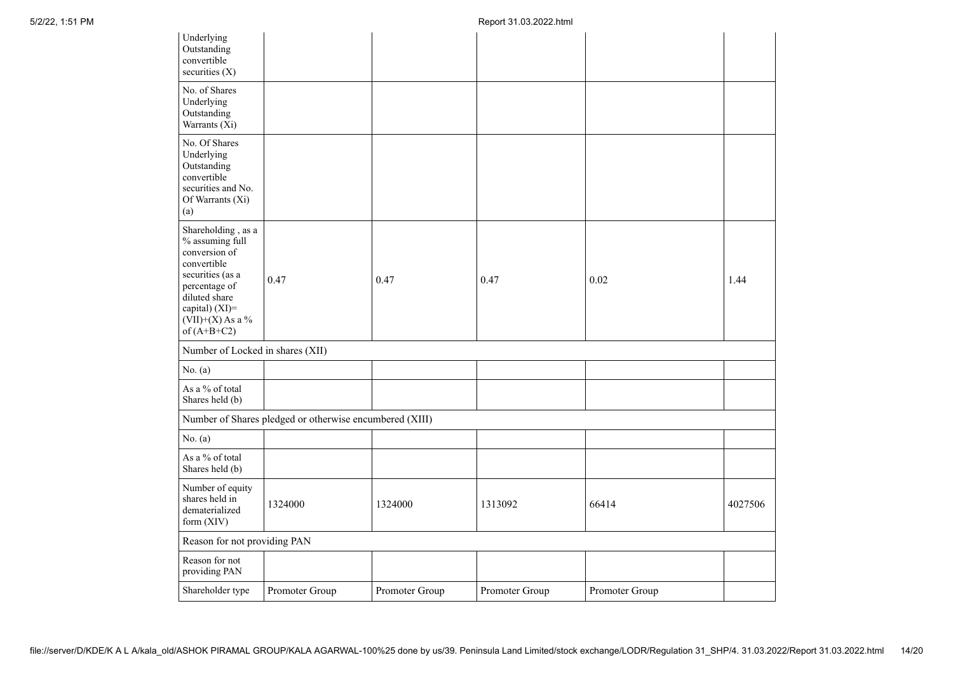| Underlying<br>Outstanding<br>convertible<br>securities (X)                                                                                                                           |                                                         |                |                |                |         |
|--------------------------------------------------------------------------------------------------------------------------------------------------------------------------------------|---------------------------------------------------------|----------------|----------------|----------------|---------|
| No. of Shares<br>Underlying<br>Outstanding<br>Warrants (Xi)                                                                                                                          |                                                         |                |                |                |         |
| No. Of Shares<br>Underlying<br>Outstanding<br>convertible<br>securities and No.<br>Of Warrants (Xi)<br>(a)                                                                           |                                                         |                |                |                |         |
| Shareholding, as a<br>% assuming full<br>conversion of<br>convertible<br>securities (as a<br>percentage of<br>diluted share<br>capital) (XI)=<br>$(VII)+(X)$ As a %<br>of $(A+B+C2)$ | 0.47                                                    | 0.47           | 0.47           | 0.02           | 1.44    |
| Number of Locked in shares (XII)                                                                                                                                                     |                                                         |                |                |                |         |
| No. (a)                                                                                                                                                                              |                                                         |                |                |                |         |
| As a % of total<br>Shares held (b)                                                                                                                                                   |                                                         |                |                |                |         |
|                                                                                                                                                                                      | Number of Shares pledged or otherwise encumbered (XIII) |                |                |                |         |
| No. $(a)$                                                                                                                                                                            |                                                         |                |                |                |         |
| As a % of total<br>Shares held (b)                                                                                                                                                   |                                                         |                |                |                |         |
| Number of equity<br>shares held in<br>dematerialized<br>form (XIV)                                                                                                                   | 1324000                                                 | 1324000        | 1313092        | 66414          | 4027506 |
| Reason for not providing PAN                                                                                                                                                         |                                                         |                |                |                |         |
| Reason for not<br>providing PAN                                                                                                                                                      |                                                         |                |                |                |         |
| Shareholder type                                                                                                                                                                     | Promoter Group                                          | Promoter Group | Promoter Group | Promoter Group |         |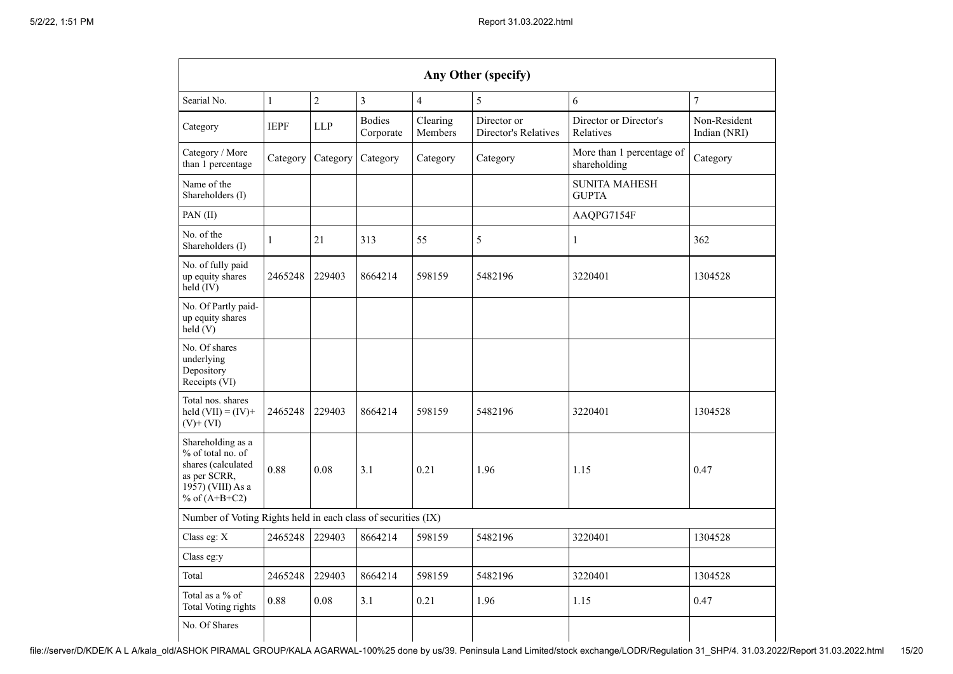| Any Other (specify)                                                                                                  |              |                |                            |                     |                                     |                                           |                              |  |  |
|----------------------------------------------------------------------------------------------------------------------|--------------|----------------|----------------------------|---------------------|-------------------------------------|-------------------------------------------|------------------------------|--|--|
| Searial No.                                                                                                          | $\mathbf{1}$ | $\overline{2}$ | $\overline{3}$             | $\overline{4}$      | 5                                   | 6                                         | $\overline{7}$               |  |  |
| Category                                                                                                             | <b>IEPF</b>  | <b>LLP</b>     | <b>Bodies</b><br>Corporate | Clearing<br>Members | Director or<br>Director's Relatives | Director or Director's<br>Relatives       | Non-Resident<br>Indian (NRI) |  |  |
| Category / More<br>than 1 percentage                                                                                 | Category     | Category       | Category                   | Category            | Category                            | More than 1 percentage of<br>shareholding | Category                     |  |  |
| Name of the<br>Shareholders (I)                                                                                      |              |                |                            |                     |                                     | <b>SUNITA MAHESH</b><br><b>GUPTA</b>      |                              |  |  |
| PAN(II)                                                                                                              |              |                |                            |                     |                                     | AAQPG7154F                                |                              |  |  |
| No. of the<br>Shareholders (I)                                                                                       | 1            | 21             | 313                        | 55                  | 5                                   | 1                                         | 362                          |  |  |
| No. of fully paid<br>up equity shares<br>held (IV)                                                                   | 2465248      | 229403         | 8664214                    | 598159              | 5482196                             | 3220401                                   | 1304528                      |  |  |
| No. Of Partly paid-<br>up equity shares<br>held (V)                                                                  |              |                |                            |                     |                                     |                                           |                              |  |  |
| No. Of shares<br>underlying<br>Depository<br>Receipts (VI)                                                           |              |                |                            |                     |                                     |                                           |                              |  |  |
| Total nos. shares<br>held $(VII) = (IV) +$<br>$(V)+(VI)$                                                             | 2465248      | 229403         | 8664214                    | 598159              | 5482196                             | 3220401                                   | 1304528                      |  |  |
| Shareholding as a<br>% of total no. of<br>shares (calculated<br>as per SCRR,<br>1957) (VIII) As a<br>% of $(A+B+C2)$ | 0.88         | 0.08           | 3.1                        | 0.21                | 1.96                                | 1.15                                      | 0.47                         |  |  |
| Number of Voting Rights held in each class of securities (IX)                                                        |              |                |                            |                     |                                     |                                           |                              |  |  |
| Class eg: X                                                                                                          | 2465248      | 229403         | 8664214                    | 598159              | 5482196                             | 3220401                                   | 1304528                      |  |  |
| Class eg:y                                                                                                           |              |                |                            |                     |                                     |                                           |                              |  |  |
| Total                                                                                                                | 2465248      | 229403         | 8664214                    | 598159              | 5482196                             | 3220401                                   | 1304528                      |  |  |
| Total as a $\%$ of<br><b>Total Voting rights</b>                                                                     | 0.88         | 0.08           | 3.1                        | 0.21                | 1.96                                | 1.15                                      | 0.47                         |  |  |
| No. Of Shares                                                                                                        |              |                |                            |                     |                                     |                                           |                              |  |  |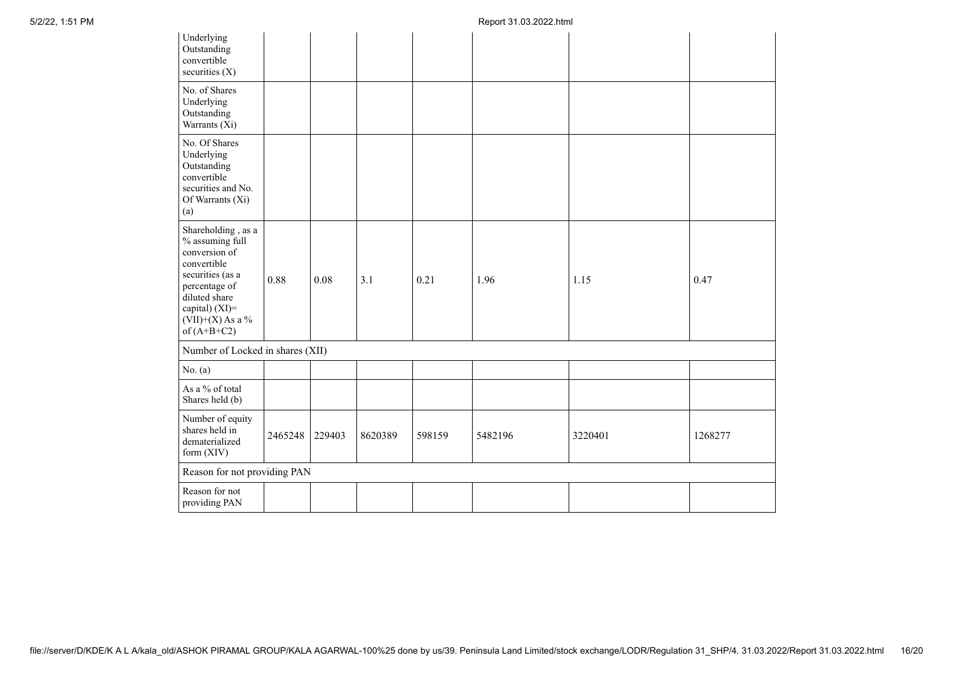| Underlying<br>Outstanding<br>convertible<br>securities (X)                                                                                                                           |         |        |         |        |         |         |         |
|--------------------------------------------------------------------------------------------------------------------------------------------------------------------------------------|---------|--------|---------|--------|---------|---------|---------|
| No. of Shares<br>Underlying<br>Outstanding<br>Warrants (Xi)                                                                                                                          |         |        |         |        |         |         |         |
| No. Of Shares<br>Underlying<br>Outstanding<br>convertible<br>securities and No.<br>Of Warrants (Xi)<br>(a)                                                                           |         |        |         |        |         |         |         |
| Shareholding, as a<br>% assuming full<br>conversion of<br>convertible<br>securities (as a<br>percentage of<br>diluted share<br>capital) (XI)=<br>$(VII)+(X)$ As a %<br>of $(A+B+C2)$ | 0.88    | 0.08   | 3.1     | 0.21   | 1.96    | 1.15    | 0.47    |
| Number of Locked in shares (XII)                                                                                                                                                     |         |        |         |        |         |         |         |
| No. $(a)$                                                                                                                                                                            |         |        |         |        |         |         |         |
| As a % of total<br>Shares held (b)                                                                                                                                                   |         |        |         |        |         |         |         |
| Number of equity<br>shares held in<br>dematerialized<br>form (XIV)                                                                                                                   | 2465248 | 229403 | 8620389 | 598159 | 5482196 | 3220401 | 1268277 |
| Reason for not providing PAN                                                                                                                                                         |         |        |         |        |         |         |         |
| Reason for not<br>providing PAN                                                                                                                                                      |         |        |         |        |         |         |         |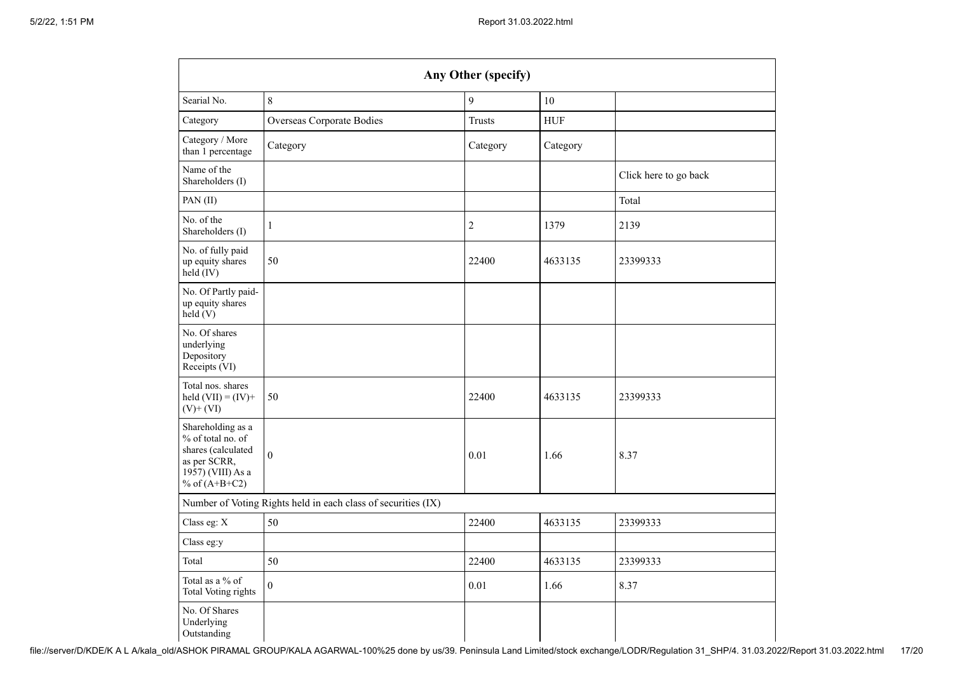| Any Other (specify)                                                                                                  |                                                               |                |             |                       |  |  |  |  |  |
|----------------------------------------------------------------------------------------------------------------------|---------------------------------------------------------------|----------------|-------------|-----------------------|--|--|--|--|--|
| Searial No.                                                                                                          | 8                                                             | 9              | 10          |                       |  |  |  |  |  |
| Category                                                                                                             | Overseas Corporate Bodies                                     | <b>Trusts</b>  | ${\rm HUF}$ |                       |  |  |  |  |  |
| Category / More<br>than 1 percentage                                                                                 | Category                                                      | Category       | Category    |                       |  |  |  |  |  |
| Name of the<br>Shareholders (I)                                                                                      |                                                               |                |             | Click here to go back |  |  |  |  |  |
| PAN(II)                                                                                                              |                                                               |                |             | Total                 |  |  |  |  |  |
| No. of the<br>Shareholders (I)                                                                                       | $\mathbf{1}$                                                  | $\overline{c}$ | 1379        | 2139                  |  |  |  |  |  |
| No. of fully paid<br>up equity shares<br>$held$ (IV)                                                                 | 50                                                            | 22400          | 4633135     | 23399333              |  |  |  |  |  |
| No. Of Partly paid-<br>up equity shares<br>held(V)                                                                   |                                                               |                |             |                       |  |  |  |  |  |
| No. Of shares<br>underlying<br>Depository<br>Receipts (VI)                                                           |                                                               |                |             |                       |  |  |  |  |  |
| Total nos. shares<br>held $(VII) = (IV) +$<br>$(V)$ + $(VI)$                                                         | 50                                                            | 22400          | 4633135     | 23399333              |  |  |  |  |  |
| Shareholding as a<br>% of total no. of<br>shares (calculated<br>as per SCRR,<br>1957) (VIII) As a<br>% of $(A+B+C2)$ | $\boldsymbol{0}$                                              | 0.01           | 1.66        | 8.37                  |  |  |  |  |  |
|                                                                                                                      | Number of Voting Rights held in each class of securities (IX) |                |             |                       |  |  |  |  |  |
| Class eg: X                                                                                                          | 50                                                            | 22400          | 4633135     | 23399333              |  |  |  |  |  |
| Class eg:y                                                                                                           |                                                               |                |             |                       |  |  |  |  |  |
| Total                                                                                                                | 50                                                            | 22400          | 4633135     | 23399333              |  |  |  |  |  |
| Total as a % of<br>Total Voting rights                                                                               | $\boldsymbol{0}$                                              | 0.01           | 1.66        | 8.37                  |  |  |  |  |  |
| No. Of Shares<br>Underlying<br>Outstanding                                                                           |                                                               |                |             |                       |  |  |  |  |  |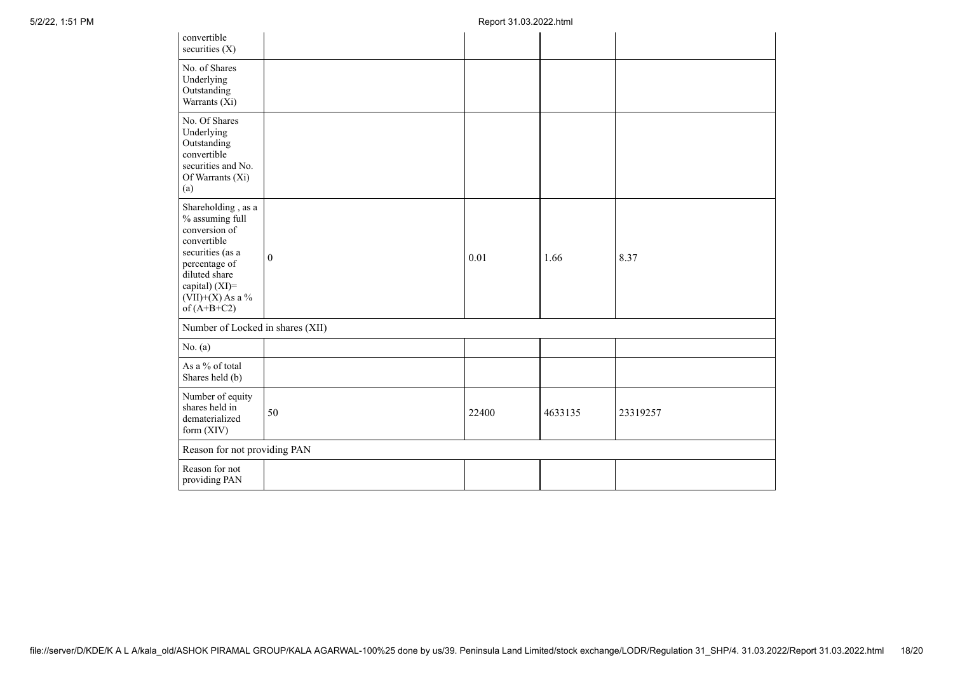| convertible<br>securities (X)                                                                                                                                                        |              |       |         |          |
|--------------------------------------------------------------------------------------------------------------------------------------------------------------------------------------|--------------|-------|---------|----------|
| No. of Shares<br>Underlying<br>Outstanding<br>Warrants (Xi)                                                                                                                          |              |       |         |          |
| No. Of Shares<br>Underlying<br>Outstanding<br>convertible<br>securities and No.<br>Of Warrants (Xi)<br>(a)                                                                           |              |       |         |          |
| Shareholding, as a<br>% assuming full<br>conversion of<br>convertible<br>securities (as a<br>percentage of<br>diluted share<br>capital) (XI)=<br>$(VII)+(X)$ As a %<br>of $(A+B+C2)$ | $\mathbf{0}$ | 0.01  | 1.66    | 8.37     |
| Number of Locked in shares (XII)                                                                                                                                                     |              |       |         |          |
| No. (a)                                                                                                                                                                              |              |       |         |          |
| As a % of total<br>Shares held (b)                                                                                                                                                   |              |       |         |          |
| Number of equity<br>shares held in<br>dematerialized<br>form (XIV)                                                                                                                   | 50           | 22400 | 4633135 | 23319257 |
| Reason for not providing PAN                                                                                                                                                         |              |       |         |          |
| Reason for not<br>providing PAN                                                                                                                                                      |              |       |         |          |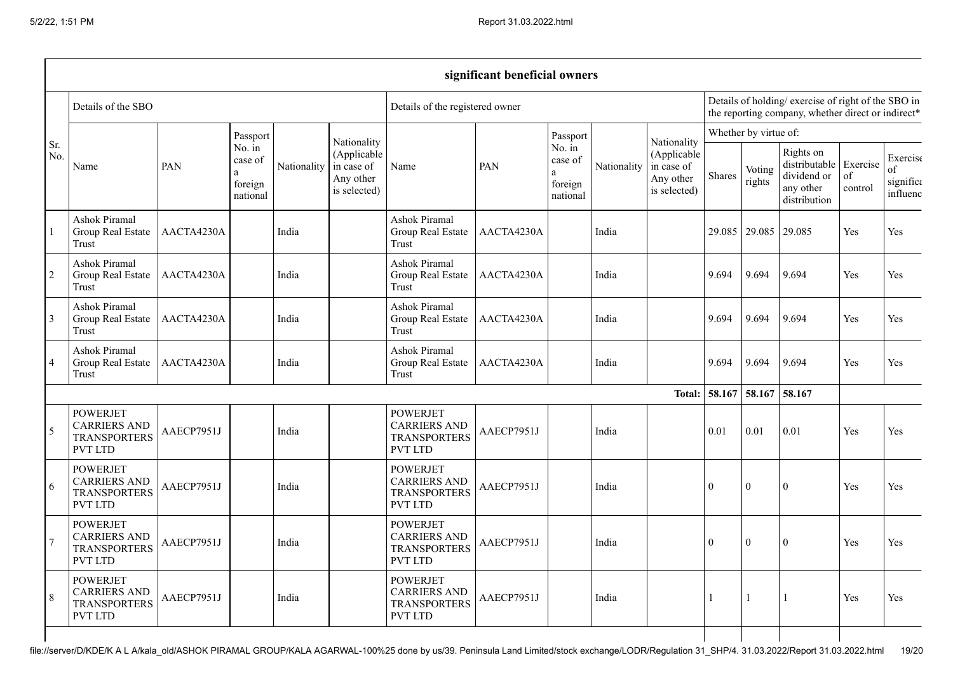|                |                                                                                 |            |                                                              |             |                                                                       |                                                                                 | significant beneficial owners |                                               |             |                                                                                                          |          |                       |                                                                        |                           |                                         |
|----------------|---------------------------------------------------------------------------------|------------|--------------------------------------------------------------|-------------|-----------------------------------------------------------------------|---------------------------------------------------------------------------------|-------------------------------|-----------------------------------------------|-------------|----------------------------------------------------------------------------------------------------------|----------|-----------------------|------------------------------------------------------------------------|---------------------------|-----------------------------------------|
|                | Details of the SBO                                                              |            |                                                              |             |                                                                       | Details of the registered owner                                                 |                               |                                               |             | Details of holding/exercise of right of the SBO in<br>the reporting company, whether direct or indirect* |          |                       |                                                                        |                           |                                         |
|                |                                                                                 |            | Passport                                                     |             |                                                                       |                                                                                 |                               | Passport                                      | Nationality | Nationality<br>(Applicable<br>in case of<br>Any other<br>is selected)                                    |          | Whether by virtue of: |                                                                        |                           |                                         |
| Sr.<br>No.     | Name                                                                            | PAN        | No. $\overline{\text{in}}$<br>case of<br>foreign<br>national | Nationality | Nationality<br>(Applicable<br>in case of<br>Any other<br>is selected) | Name                                                                            | PAN                           | No. in<br>case of<br>a<br>foreign<br>national |             |                                                                                                          | Shares   | Voting<br>rights      | Rights on<br>distributable<br>dividend or<br>any other<br>distribution | Exercise<br>of<br>control | Exercise<br>of<br>significa<br>influenc |
|                | Ashok Piramal<br>Group Real Estate<br>Trust                                     | AACTA4230A |                                                              | India       |                                                                       | <b>Ashok Piramal</b><br>Group Real Estate<br>Trust                              | AACTA4230A                    |                                               | India       |                                                                                                          |          | 29.085 29.085         | 29.085                                                                 | Yes                       | Yes                                     |
| $\overline{2}$ | Ashok Piramal<br>Group Real Estate<br>Trust                                     | AACTA4230A |                                                              | India       |                                                                       | <b>Ashok Piramal</b><br>Group Real Estate<br>Trust                              | AACTA4230A                    |                                               | India       |                                                                                                          | 9.694    | 9.694                 | 9.694                                                                  | Yes                       | Yes                                     |
| 3              | Ashok Piramal<br>Group Real Estate<br>Trust                                     | AACTA4230A |                                                              | India       |                                                                       | Ashok Piramal<br>Group Real Estate<br>Trust                                     | AACTA4230A                    |                                               | India       |                                                                                                          | 9.694    | 9.694                 | 9.694                                                                  | Yes                       | Yes                                     |
| $\overline{4}$ | Ashok Piramal<br>Group Real Estate<br>Trust                                     | AACTA4230A |                                                              | India       |                                                                       | Ashok Piramal<br>Group Real Estate<br>Trust                                     | AACTA4230A                    |                                               | India       |                                                                                                          | 9.694    | 9.694                 | 9.694                                                                  | Yes                       | Yes                                     |
|                |                                                                                 |            |                                                              |             |                                                                       |                                                                                 |                               |                                               |             | Total:                                                                                                   | 58.167   | 58.167                | 58.167                                                                 |                           |                                         |
| 5              | <b>POWERJET</b><br><b>CARRIERS AND</b><br><b>TRANSPORTERS</b><br>PVT LTD        | AAECP7951J |                                                              | India       |                                                                       | <b>POWERJET</b><br><b>CARRIERS AND</b><br><b>TRANSPORTERS</b><br><b>PVT LTD</b> | AAECP7951J                    |                                               | India       |                                                                                                          | 0.01     | 0.01                  | 0.01                                                                   | <b>Yes</b>                | Yes                                     |
| 6              | <b>POWERJET</b><br><b>CARRIERS AND</b><br><b>TRANSPORTERS</b><br><b>PVT LTD</b> | AAECP7951J |                                                              | India       |                                                                       | <b>POWERJET</b><br><b>CARRIERS AND</b><br><b>TRANSPORTERS</b><br><b>PVT LTD</b> | AAECP7951J                    |                                               | India       |                                                                                                          | $\theta$ | $\theta$              | $\Omega$                                                               | <b>Yes</b>                | Yes                                     |
|                | <b>POWERJET</b><br><b>CARRIERS AND</b><br><b>TRANSPORTERS</b><br><b>PVT LTD</b> | AAECP7951J |                                                              | India       |                                                                       | <b>POWERJET</b><br><b>CARRIERS AND</b><br><b>TRANSPORTERS</b><br><b>PVT LTD</b> | AAECP7951J                    |                                               | India       |                                                                                                          | $\theta$ | $\boldsymbol{0}$      | $\boldsymbol{0}$                                                       | Yes                       | Yes                                     |
| 8              | <b>POWERJET</b><br><b>CARRIERS AND</b><br><b>TRANSPORTERS</b><br><b>PVT LTD</b> | AAECP7951J |                                                              | India       |                                                                       | <b>POWERJET</b><br><b>CARRIERS AND</b><br><b>TRANSPORTERS</b><br><b>PVT LTD</b> | AAECP7951J                    |                                               | India       |                                                                                                          |          |                       | -1                                                                     | Yes                       | Yes                                     |
|                |                                                                                 |            |                                                              |             |                                                                       |                                                                                 |                               |                                               |             |                                                                                                          |          |                       |                                                                        |                           |                                         |